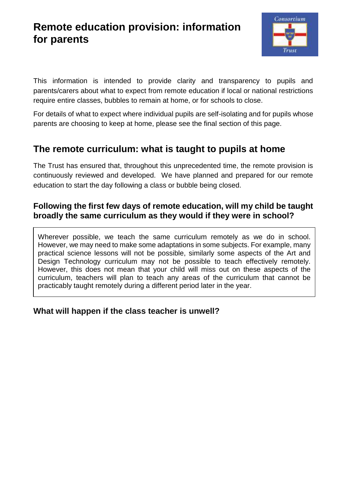# **Remote education provision: information for parents**



This information is intended to provide clarity and transparency to pupils and parents/carers about what to expect from remote education if local or national restrictions require entire classes, bubbles to remain at home, or for schools to close.

For details of what to expect where individual pupils are self-isolating and for pupils whose parents are choosing to keep at home, please see the final section of this page.

# **The remote curriculum: what is taught to pupils at home**

The Trust has ensured that, throughout this unprecedented time, the remote provision is continuously reviewed and developed. We have planned and prepared for our remote education to start the day following a class or bubble being closed.

### **Following the first few days of remote education, will my child be taught broadly the same curriculum as they would if they were in school?**

Wherever possible, we teach the same curriculum remotely as we do in school. However, we may need to make some adaptations in some subjects. For example, many practical science lessons will not be possible, similarly some aspects of the Art and Design Technology curriculum may not be possible to teach effectively remotely. However, this does not mean that your child will miss out on these aspects of the curriculum, teachers will plan to teach any areas of the curriculum that cannot be practicably taught remotely during a different period later in the year.

## **What will happen if the class teacher is unwell?**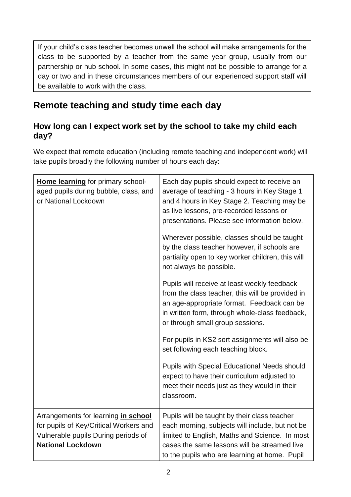If your child's class teacher becomes unwell the school will make arrangements for the class to be supported by a teacher from the same year group, usually from our partnership or hub school. In some cases, this might not be possible to arrange for a day or two and in these circumstances members of our experienced support staff will be available to work with the class.

# **Remote teaching and study time each day**

## **How long can I expect work set by the school to take my child each day?**

We expect that remote education (including remote teaching and independent work) will take pupils broadly the following number of hours each day:

| Home learning for primary school-<br>aged pupils during bubble, class, and<br>or National Lockdown                                               | Each day pupils should expect to receive an<br>average of teaching - 3 hours in Key Stage 1<br>and 4 hours in Key Stage 2. Teaching may be<br>as live lessons, pre-recorded lessons or<br>presentations. Please see information below.<br>Wherever possible, classes should be taught<br>by the class teacher however, if schools are<br>partiality open to key worker children, this will<br>not always be possible. |
|--------------------------------------------------------------------------------------------------------------------------------------------------|-----------------------------------------------------------------------------------------------------------------------------------------------------------------------------------------------------------------------------------------------------------------------------------------------------------------------------------------------------------------------------------------------------------------------|
|                                                                                                                                                  | Pupils will receive at least weekly feedback<br>from the class teacher, this will be provided in<br>an age-appropriate format. Feedback can be<br>in written form, through whole-class feedback,<br>or through small group sessions.<br>For pupils in KS2 sort assignments will also be<br>set following each teaching block.                                                                                         |
|                                                                                                                                                  | <b>Pupils with Special Educational Needs should</b><br>expect to have their curriculum adjusted to<br>meet their needs just as they would in their<br>classroom.                                                                                                                                                                                                                                                      |
| Arrangements for learning in school<br>for pupils of Key/Critical Workers and<br>Vulnerable pupils During periods of<br><b>National Lockdown</b> | Pupils will be taught by their class teacher<br>each morning, subjects will include, but not be<br>limited to English, Maths and Science. In most<br>cases the same lessons will be streamed live<br>to the pupils who are learning at home. Pupil                                                                                                                                                                    |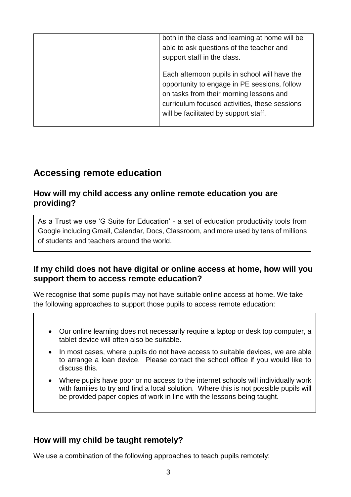| both in the class and learning at home will be<br>able to ask questions of the teacher and<br>support staff in the class.<br>Each afternoon pupils in school will have the<br>opportunity to engage in PE sessions, follow<br>on tasks from their morning lessons and<br>curriculum focused activities, these sessions |
|------------------------------------------------------------------------------------------------------------------------------------------------------------------------------------------------------------------------------------------------------------------------------------------------------------------------|
|                                                                                                                                                                                                                                                                                                                        |
| will be facilitated by support staff.                                                                                                                                                                                                                                                                                  |

# **Accessing remote education**

#### **How will my child access any online remote education you are providing?**

As a Trust we use 'G Suite for Education' - a set of education productivity tools from Google including Gmail, Calendar, Docs, Classroom, and more used by tens of millions of students and teachers around the world.

#### **If my child does not have digital or online access at home, how will you support them to access remote education?**

We recognise that some pupils may not have suitable online access at home. We take the following approaches to support those pupils to access remote education:

- Our online learning does not necessarily require a laptop or desk top computer, a tablet device will often also be suitable.
- In most cases, where pupils do not have access to suitable devices, we are able to arrange a loan device. Please contact the school office if you would like to discuss this.
- Where pupils have poor or no access to the internet schools will individually work with families to try and find a local solution. Where this is not possible pupils will be provided paper copies of work in line with the lessons being taught.

## **How will my child be taught remotely?**

We use a combination of the following approaches to teach pupils remotely: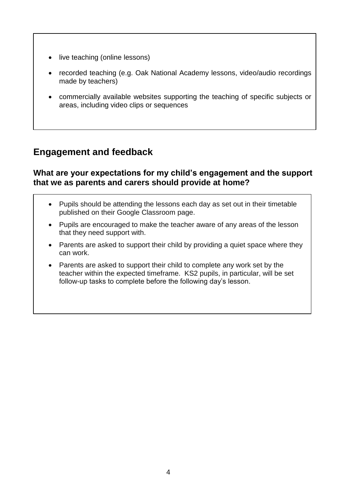- live teaching (online lessons)
- recorded teaching (e.g. Oak National Academy lessons, video/audio recordings made by teachers)
- commercially available websites supporting the teaching of specific subjects or areas, including video clips or sequences

# **Engagement and feedback**

#### **What are your expectations for my child's engagement and the support that we as parents and carers should provide at home?**

- Pupils should be attending the lessons each day as set out in their timetable published on their Google Classroom page.
- Pupils are encouraged to make the teacher aware of any areas of the lesson that they need support with.
- Parents are asked to support their child by providing a quiet space where they can work.
- Parents are asked to support their child to complete any work set by the teacher within the expected timeframe. KS2 pupils, in particular, will be set follow-up tasks to complete before the following day's lesson.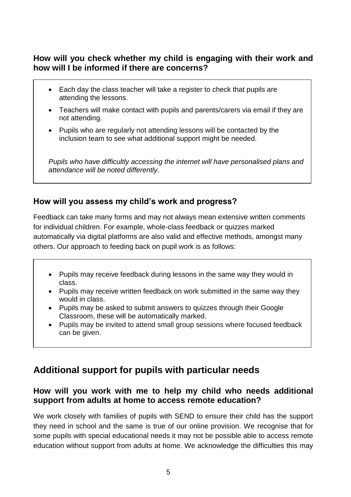### **How will you check whether my child is engaging with their work and how will I be informed if there are concerns?**

- Each day the class teacher will take a register to check that pupils are attending the lessons.
- Teachers will make contact with pupils and parents/carers via email if they are not attending.
- Pupils who are regularly not attending lessons will be contacted by the inclusion team to see what additional support might be needed.

*Pupils who have difficultly accessing the internet will have personalised plans and attendance will be noted differently.*

### **How will you assess my child's work and progress?**

Feedback can take many forms and may not always mean extensive written comments for individual children. For example, whole-class feedback or quizzes marked automatically via digital platforms are also valid and effective methods, amongst many others. Our approach to feeding back on pupil work is as follows:

- Pupils may receive feedback during lessons in the same way they would in class.
- Pupils may receive written feedback on work submitted in the same way they would in class.
- Pupils may be asked to submit answers to quizzes through their Google Classroom, these will be automatically marked.
- Pupils may be invited to attend small group sessions where focused feedback can be given.

# **Additional support for pupils with particular needs**

### **How will you work with me to help my child who needs additional support from adults at home to access remote education?**

We work closely with families of pupils with SEND to ensure their child has the support they need in school and the same is true of our online provision. We recognise that for some pupils with special educational needs it may not be possible able to access remote education without support from adults at home. We acknowledge the difficulties this may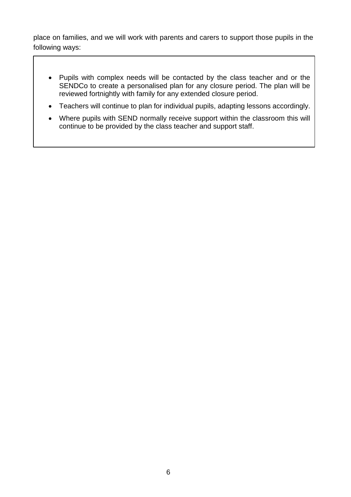place on families, and we will work with parents and carers to support those pupils in the following ways:

- Pupils with complex needs will be contacted by the class teacher and or the SENDCo to create a personalised plan for any closure period. The plan will be reviewed fortnightly with family for any extended closure period.
- Teachers will continue to plan for individual pupils, adapting lessons accordingly.
- Where pupils with SEND normally receive support within the classroom this will continue to be provided by the class teacher and support staff.